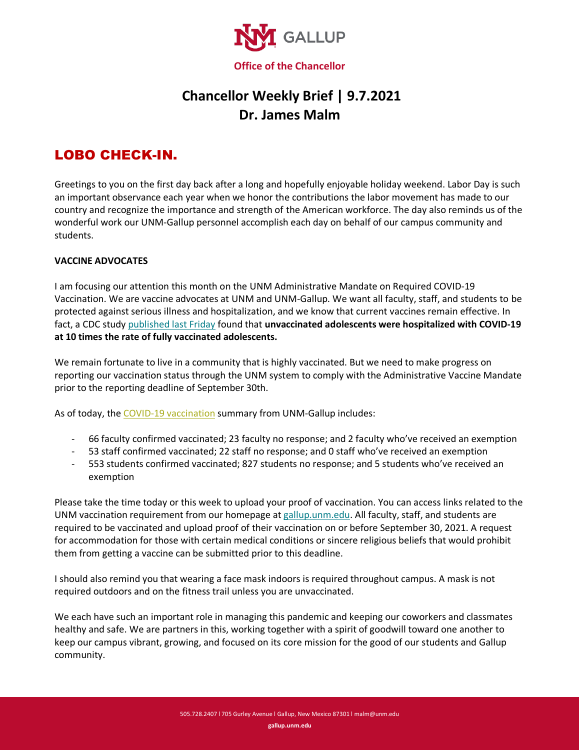

## **Chancellor Weekly Brief | 9.7.2021 Dr. James Malm**

## LOBO CHECK-IN.

Greetings to you on the first day back after a long and hopefully enjoyable holiday weekend. Labor Day is such an important observance each year when we honor the contributions the labor movement has made to our country and recognize the importance and strength of the American workforce. The day also reminds us of the wonderful work our UNM-Gallup personnel accomplish each day on behalf of our campus community and students.

## **VACCINE ADVOCATES**

I am focusing our attention this month on the UNM Administrative Mandate on Required COVID-19 Vaccination. We are vaccine advocates at UNM and UNM-Gallup. We want all faculty, staff, and students to be protected against serious illness and hospitalization, and we know that current vaccines remain effective. In fact, a CDC study [published last Friday](https://www.washingtonpost.com/nation/2021/09/03/covid-delta-variant-live-updates/) found that **unvaccinated adolescents were hospitalized with COVID-19 at 10 times the rate of fully vaccinated adolescents.** 

We remain fortunate to live in a community that is highly vaccinated. But we need to make progress on reporting our vaccination status through the UNM system to comply with the Administrative Vaccine Mandate prior to the reporting deadline of September 30th.

As of today, the [COVID-19 vaccination](http://covid.unm.edu/) summary from UNM-Gallup includes:

- 66 faculty confirmed vaccinated; 23 faculty no response; and 2 faculty who've received an exemption
- 53 staff confirmed vaccinated; 22 staff no response; and 0 staff who've received an exemption
- 553 students confirmed vaccinated; 827 students no response; and 5 students who've received an exemption

Please take the time today or this week to upload your proof of vaccination. You can access links related to the UNM vaccination requirement from our homepage a[t gallup.unm.edu.](http://www.gallup.unm.edu/) All faculty, staff, and students are required to be vaccinated and upload proof of their vaccination on or before September 30, 2021. A request for accommodation for those with certain medical conditions or sincere religious beliefs that would prohibit them from getting a vaccine can be submitted prior to this deadline.

I should also remind you that wearing a face mask indoors is required throughout campus. A mask is not required outdoors and on the fitness trail unless you are unvaccinated.

We each have such an important role in managing this pandemic and keeping our coworkers and classmates healthy and safe. We are partners in this, working together with a spirit of goodwill toward one another to keep our campus vibrant, growing, and focused on its core mission for the good of our students and Gallup community.